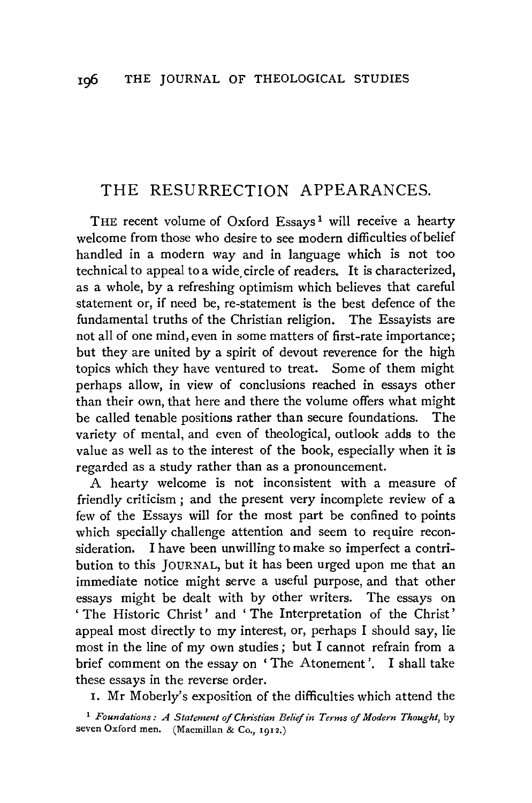# THE RESURRECTION APPEARANCES.

THE recent volume of Oxford  $Essays<sup>1</sup>$  will receive a hearty welcome from those who desire to see modern difficulties of belief handled in a modern way and in language which is not too technical to appeal to a wide, circle of readers. It is characterized, as a whole, by a refreshing optimism which believes that careful statement or, if need be, re-statement is the best defence of the fundamental truths of the Christian religion. The Essayists are not all of one mind, even in some matters of first-rate importance; but they are united by a spirit of devout reverence for the high topics which they have ventured to treat. Some of them might perhaps allow, in view of conclusions reached in essays other than their own, that here and there the volume offers what might be called tenable positions rather than secure foundations. The variety of mental, and even of theological, outlook adds to the value as well as to the interest of the book, especially when it is regarded as a study rather than as a pronouncement.

A hearty welcome is not inconsistent with a measure of friendly criticism; and the present very incomplete review of a few of the Essays will for the most part be confined to points which specially challenge attention and seem to require reconsideration. I have been unwilling to make so imperfect a contribution to this JOURNAL, but it has been urged upon me that an immediate notice might serve a useful purpose, and that other essays might be dealt with by other writers. The essays on ' The Historic Christ' and ' The Interpretation of the Christ' appeal most directly to my interest, or, perhaps I should say, lie most in the line of my own studies ; but I cannot refrain from a brief comment on the essay on ' The Atonement'. I shall take these essays in the reverse order.

I. Mr Moberly's exposition of the difficulties which attend the

<sup>1</sup>*Foundations: A Statement of Christian Belief in Terms of Modern Thought,* by seven Oxford men. (Macmillan & Co., 1912.)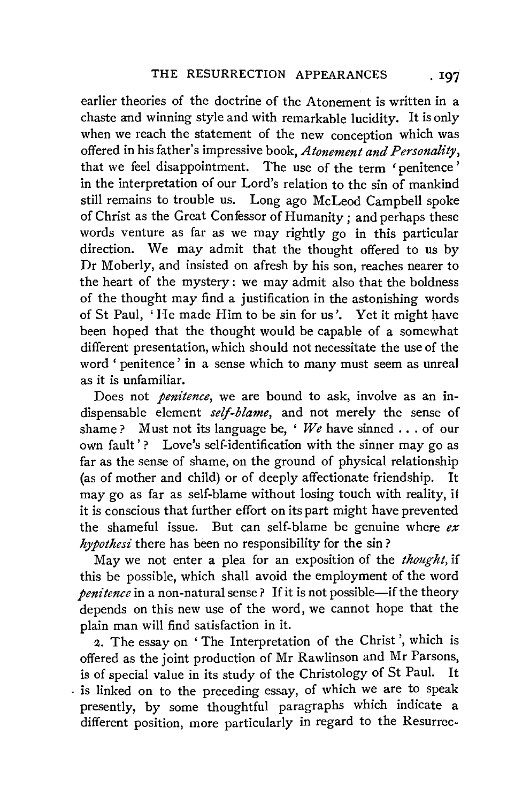earlier theories of the doctrine of the Atonement is written in a chaste and winning style and with remarkable lucidity. It is only when we reach the statement of the new conception which was offered in his father's impressive book, *Atonement and Personality,*  that we feel disappointment. The use of the term 'penitence' in the interpretation of our Lord's relation to the sin of mankind still remains to trouble us. Long ago McLeod Campbell spoke of Christ as the Great Confessor of Humanity; and perhaps these words venture as far as we may rightly  $\infty$  in this particular direction. We may admit that the thought offered to us by Dr Moberly, and insisted on afresh by his son, reaches nearer to the heart of the mystery: we may admit also that the boldness of the thought may find a justification in the astonishing words of St Paul, ' He made Him to be sin for us'. Yet it might have been hoped that the thought would be capable of a somewhat different presentation, which should not necessitate the use of the word ' penitence' in a sense which to many must seem as unreal as it is unfamiliar.

Does not *penitence,* we are bound to ask, involve as an indispensable element *self-blame,* and not merely the sense of shame? Must not its language be, 'We have sinned . . . of our own fault'? Love's self-identification with the sinner may go as far as the sense of shame, on the ground of physical relationship (as of mother and child) or of deeply affectionate friendship. It may go as far as self-blame without losing touch with reality, it it is conscious that further effort on its part might have prevented the shameful issue. But can self-blame be genuine where *ex hypothesi* there has been no responsibility for the sin ?

May we not enter a plea for an exposition of the *thought,* if this be possible, which shall avoid the employment of the word *penitence* in a non-natural sense? If it is not possible—if the theory depends on this new use of the word, we cannot hope that the plain man will find satisfaction in it.

2. The essay on 'The Interpretation of the Christ', which is offered as the joint production of Mr Rawlinson and Mr Parsons, is of special value in its study of the Christology of St Paul. It · is linked on to the preceding essay, of which we are to speak presently, by some thoughtful paragraphs which indicate a different position, more particularly in regard to the Resurrec-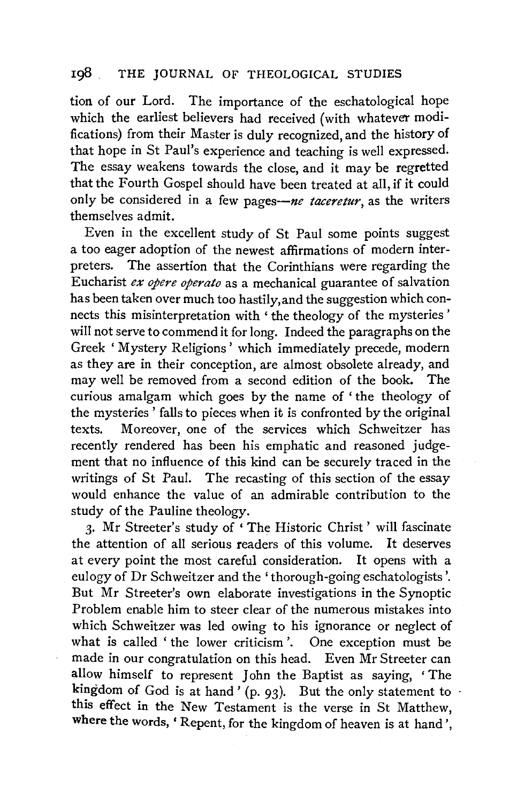## 198 . THE JOURNAL OF THEOLOGICAL STUDIES

tion of our Lord. The importance of the eschatological hope which the earliest believers had received (with whatever modifications) from their Master is duly recognized, and the history of that hope in St Paul's experience and teaching is well expressed. The essay weakens towards the close, and it may be regretted that the Fourth Gospel should have been treated at all, if it could only be considered in a few pages-ne taceretur, as the writers themselves admit.

Even in the excellent study of St Paul some points suggest a too eager adoption of the newest affirmations of modern interpreters. The assertion that the Corinthians were regarding the Eucharist ex opere operato as a mechanical guarantee of salvation has been taken over much too hastily, and the suggestion which connects this misinterpretation with ' the theology of the mysteries ' will not serve to commend it for long. Indeed the paragraphs on the Greek 'Mystery Religions' which immediately precede, modern as they are in their conception, are almost obsolete already, and may well be removed from a second edition of the book. The curious amalgam which goes by the name of ' the theology of the mysteries ' falls to pieces when it is confronted by the original texts. Moreover, one of the services which Schweitzer has recently rendered has been his emphatic and reasoned judgement that no influence of this kind can be securely traced in the writings of St Paul. The recasting of this section of the essay would enhance the value of an admirable contribution to the study of the Pauline theology.

3. Mr Streeter's study of 'The Historic Christ' will fascinate the attention of all serious readers of this volume. It deserves at every point the most careful consideration. It opens with a eulogy of Dr Schweitzer and the 'thorough-going eschatologists '. But Mr Streeter's own elaborate investigations in the Synoptic Problem enable him to steer clear of the numerous mistakes into which Schweitzer was led owing to his ignorance or neglect of what is called 'the lower criticism'. One exception must be made in our congratulation on this head. Even Mr Streeter can allow himself to represent John the Baptist as saying, ' The kingdom of God is at hand' (p. 93). But the only statement to this effect in the New Testament is the verse in St Matthew, where the words, ' Repent, for the kingdom of heaven is at hand',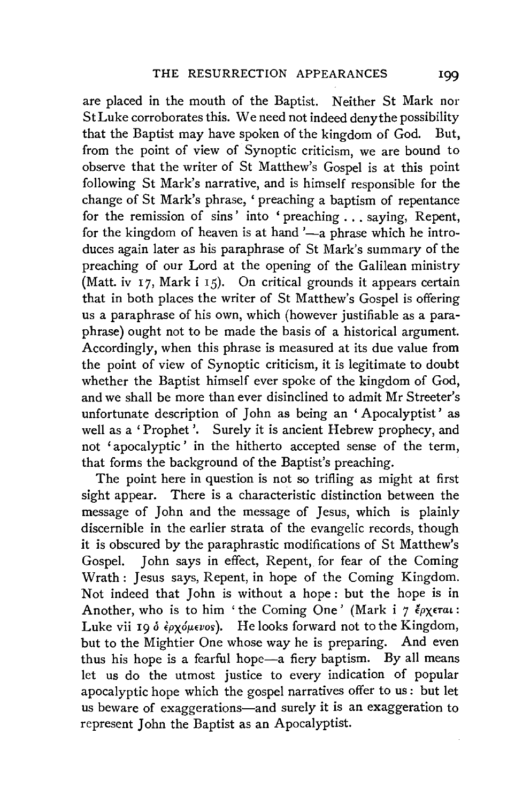are placed in the mouth of the Baptist. Neither St Mark nor St Luke corroborates this. We need not indeed denythe possibility<br>that the Bantist may have spoken of the kingdom of God. But. that the Baptist may have spoken of the kingdom of God. from the point of view of Synoptic criticism, we are bound to observe that the writer of St Matthew's Gospel is at this point following St Mark's narrative, and is himself responsible for the change of St Mark's phrase, ' preaching a baptism of repentance for the remission of sins' into ' preaching ... saying, Repent, for the kingdom of heaven is at hand  $'$ —a phrase which he introduces again later as his paraphrase of St Mark's summary of the preaching of our Lord at the opening of the Galilean ministry (Matt. iv 17, Mark i 15). On critical grounds it appears certain that in both places the writer of St Matthew's Gospel is offering us a paraphrase of his own, which (however justifiable as a paraphrase) ought not to be made the basis of a historical argument. Accordingly, when this phrase is measured at its due value from the point of view of Synoptic criticism, it is legitimate to doubt whether the Baptist himself ever spoke of the kingdom of God, and we shall be more than ever disinclined to admit Mr Streeter's unfortunate description of John as being an 'Apocalyptist' as well as a 'Prophet'. Surely it is ancient Hebrew prophecy, and not 'apocalyptic ' in the hitherto accepted sense of the term, that forms the background of the Baptist's preaching.

The point here in question is not so trifling as might at first sight appear. There is a characteristic distinction between the message of John and the message of Jesus, which is plainly discernible in the earlier strata of the evangelic records, though it is obscured by the paraphrastic modifications of St Matthew's Gospel. John says in effect, Repent, for fear of the Coming Wrath : Jesus says, Repent, in hope of the Coming Kingdom. Not indeed that John is without a hope : but the hope is in Another, who is to him ' the Coming One' (Mark i  $7 \epsilon \rho \chi \epsilon \tau a \iota$ : Luke vii 19  $\delta$   $\epsilon \rho \chi \delta \mu \epsilon \nu \sigma$ s). He looks forward not to the Kingdom, but to the Mightier One whose way he is preparing. And even thus his hope is a fearful hope-a fiery baptism. By all means let us do the utmost justice to every indication of popular apocalyptic hope which the gospel narratives offer to us: but let us beware of exaggerations-and surely it is an exaggeration to represent John the Baptist as an Apocalyptist.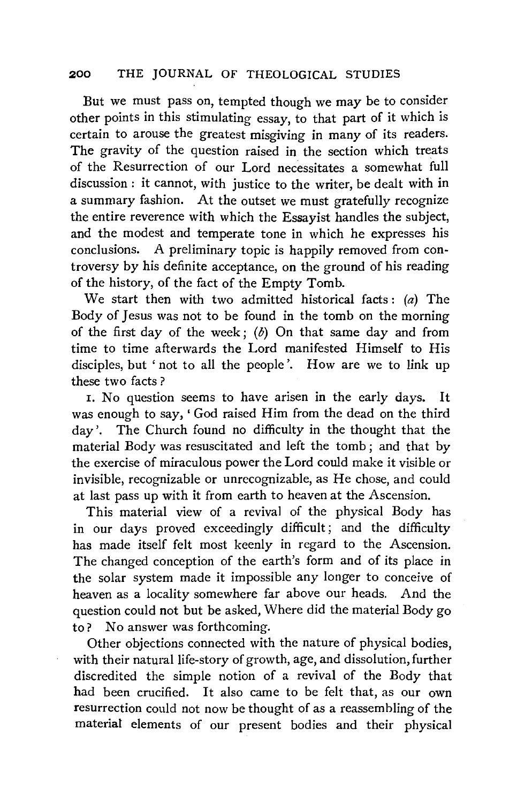## **200** THE JOURNAL OF THEOLOGICAL STUDIES

But we must pass on, tempted though we may be to consider other points in this stimulating essay, to that part of it which is certain to arouse the greatest misgiving in many of its readers. The gravity of the question raised in the section which treats of the Resurrection of our Lord necessitates a somewhat full discussion: it cannot, with justice to the writer, be dealt with in a summary fashion. At the outset we must gratefully recognize the entire reverence with which the Essayist handles the subject, and the modest and temperate tone in which he expresses his conclusions. A preliminary topic is happily removed from controversy by his definite acceptance, on the ground of his reading of the history, of the fact of the Empty Tomb.

We start then with two admitted historical facts:  $(a)$  The Body of Jesus was not to be found in the tomb on the morning of the first day of the week;  $(b)$  On that same day and from time to time afterwards the Lord manifested Himself to His disciples, but 'not to all the people'. How are we to link up these two facts ?

r. No question seems to have arisen in the early days. It was enough to say, ' God raised Him from the dead on the third day'. The Church found no difficulty in the thought that the material Body was resuscitated and left the tomb; and that by the exercise of miraculous power the Lord could make it visible or invisible, recognizable or unrecognizable, as He chose, and could at last pass up with it from earth to heaven at the Ascension.

This material view of a revival of the physical Body has in our days proved exceedingly difficult; and the difficulty has made itself felt most keenly in regard to the Ascension. The changed conception of the earth's form and of its place in the solar system made it impossible any longer to conceive of heaven as a locality somewhere far above our heads. And the question could not but be asked. Where did the material Body go to ? No answer was forthcoming.

Other objections connected with the nature of physical bodies, with their natural life-story of growth, age, and dissolution, further discredited the simple notion of a revival of the Body that had been crucified. It also came to be felt that, as our own resurrection could not now be thought of as a reassembling of the material elements of our present bodies and their physical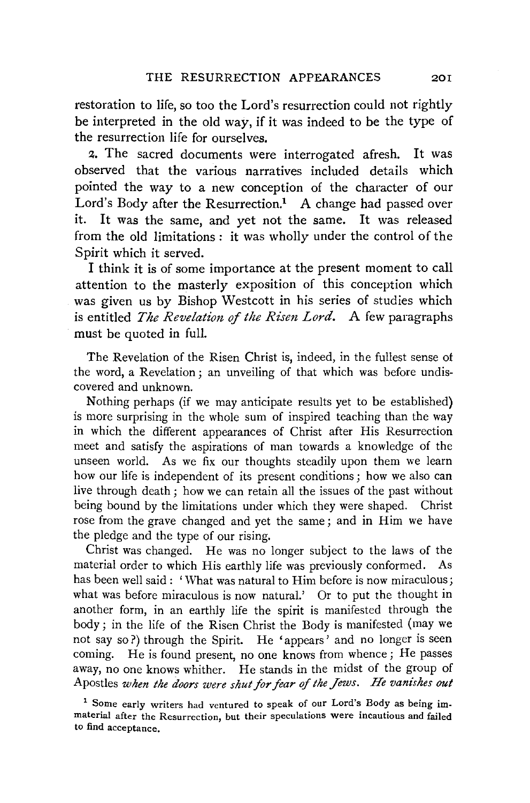restoration to life, so too the Lord's resurrection could not rightly be interpreted in the old way, if it was indeed to be the type of the resurrection life for ourselves.

2. The sacred documents were interrogated afresh. It was observed that the various narratives included details which pointed the way to a new conception of the character of our Lord's Body after the Resurrection.<sup>1</sup> A change had passed over it. It was the same, and yet not the same. It was released from the old limitations : it was wholly under the control of the Spirit which it served.

I think it is of some importance at the present moment to call attention to the masterly exposition of this conception which was given us by Bishop Westcott in his series of studies which is entitled *The Revelation of the Risen Lord.* A few paragraphs must be quoted in full.

The Revelation of the Risen Christ is, indeed, in the fullest sense of the word, a Revelation; an unveiling of that which was before undiscovered and unknown.

Nothing perhaps (if we may anticipate results yet to be established) is more surprising in the whole sum of inspired teaching than the way in which the different appearances of Christ after His Resurrection meet and satisfy the aspirations of man towards a knowledge of the unseen world. As we fix our thoughts steadily upon them we learn how our life is independent of its present conditions ; how we also can live through death; how we can retain all the issues of the past without being bound by the limitations under which they were shaped. Christ rose from the grave changed and yet the same; and in Him we have the pledge and the type of our rising.

Christ was changed. He was no longer subject to the laws of the material order to which His earthly life was previously conformed. As has been well said : 'What was natural to Him before is now miraculous; what was before miraculous is now natural.' Or to put the thought in another form, in an earthly life the spirit is manifested through the body; in the life of the Risen Christ the Body is manifested (may we not say so?) through the Spirit. He 'appears' and no longer is seen coming. He is found present, no one knows from whence ; He passes away, no one knows whither. He stands in the midst of the group of Apostles *when the doors were shut for fear of the Jews. He vanishes out* 

<sup>1</sup> Some early writers had ventured to speak of our Lord's Body as being immaterial after the Resurrection, but their speculations were incautious and failed to find acceptance.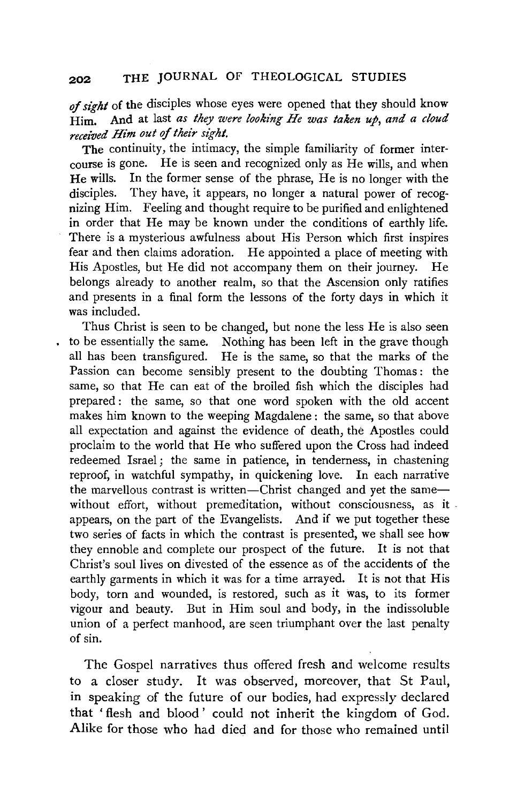#### 202 THE JOURNAL OF THEOLOGICAL STUDIES

*of sight* of the disciples whose eyes were opened that they should know Him. And at last *as they were lookz'ng He was taken up, and a cloud received Him out* of *their sight.* 

The continuity, the intimacy, the simple familiarity of former intercourse is gone. He is seen and recognized only as He wills, and when He wills. In the former sense of the phrase, He is no longer with the disciples. They have, it appears, no longer a natural power of recognizing Him. Feeling and thought require to be purified and enlightened in order that He may be known under the conditions of earthly life. There is a mysterious awfulness about His Person which first inspires fear and then claims adoration. He appointed a place of meeting with His Apostles, but He did not accompany them on their journey. He belongs already to another realm, so that the Ascension only ratifies and presents in a final form the lessons of the forty days in which it was included.

Thus Christ is seen to be changed, but none the less He is also seen • to be essentially the same. Nothing has been left in the grave though all has been transfigured. He is the same, so that the marks of the Passion can become sensibly present to the doubting Thomas : the same, so that He can eat of the broiled fish which the disciples had prepared : the same, so that one word spoken with the old accent makes him known to the weeping Magdalene: the same, so that above all expectation and against the evidence of death, the Apostles could proclaim to the world that He who suffered upon the Cross had indeed redeemed Israel ; the same in patience, in tenderness, in chastening reproof, in watchful sympathy, in quickening love. In each narrative the marvellous contrast is written-Christ changed and yet the samewithout effort, without premeditation, without consciousness, as it . appears, on the part of the Evangelists. And if we put together these two series of facts in which the contrast is presented, we shall see how they ennoble and complete our prospect of the future. It is not that Christ's soul lives on divested of the essence as of the accidents of the earthly garments in which it was for a time arrayed. It is not that His body, torn and wounded, is restored, such as it was, to its former vigour and beauty. But in Him soul and body, in the indissoluble union of a perfect manhood, are seen triumphant over the last penalty of sin.

The Gospel narratives thus offered fresh and welcome results to a closer study. It was observed, moreover, that St Paul, in speaking of the future of our bodies, had expressly declared that ' flesh and blood ' could not inherit the kingdom of God. Alike for those who had died and for those who remained until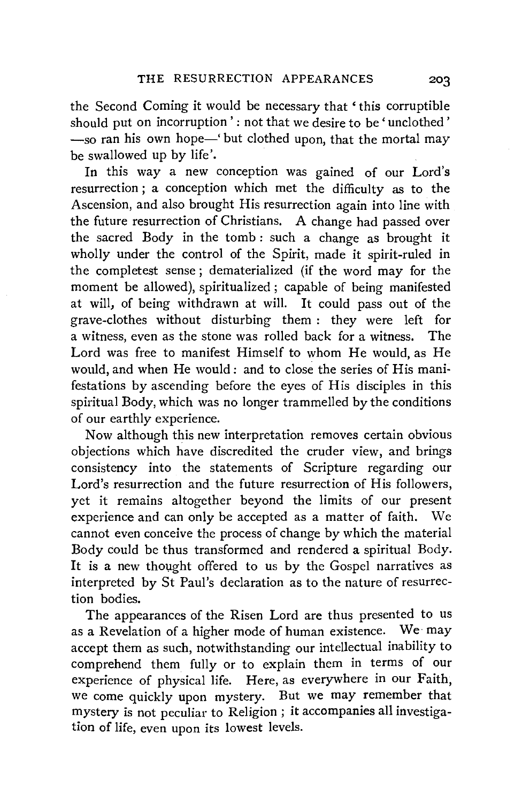the Second Coming it would be necessary that 'this corruptible should put on incorruption': not that we desire to be 'unclothed' -so ran his own hope-' but clothed upon, that the mortal may be swallowed up by life'.

In this way a new conception was gained of our Lord's resurrection ; a conception which met the difficulty as to the Ascension, and also brought His resurrection again into line with the future resurrection of Christians. A change had passed over the sacred Body in the tomb : such a change as brought it wholly under the control of the Spirit, made it spirit-ruled in the completest sense; dematerialized (if the word may for the moment be allowed), spiritualized; capable of being manifested at will, of being withdrawn at will. It could pass out of the grave-clothes without disturbing them : they were left for a witness, even as the stone was rolled back for a witness. The Lord was free to manifest Himself to whom He would, as He would, and when He would: and to close the series of His manifestations by ascending before the eyes of His disciples in this spiritual Body, which was no longer trammelled by the conditions of our earthly experience.

Now although this new interpretation removes certain obvious objections which have discredited the cruder view, and brings consistency into the statements of Scripture regarding our Lord's resurrection and the future resurrection of His followers, yet it remains altogether beyond the limits of our present experience and can only be accepted as a matter of faith. We cannot even conceive the process of change by which the material Body could be thus transformed and rendered a spiritual Body. It is a new thought offered to us by the Gospel narratives as interpreted by St Paul's declaration as to the nature of resurrection bodies.

The appearances of the Risen Lord are thus presented to us as a Revelation of a higher mode of human existence. We may accept them as such, notwithstanding our intellectual inability to comprehend them fully or to explain them in terms of our experience of physical life. Here, as everywhere in our Faith, we come quickly upon mystery. But we may remember that mystery is not peculiar to Religion ; it accompanies all investigation of life, even upon its lowest levels.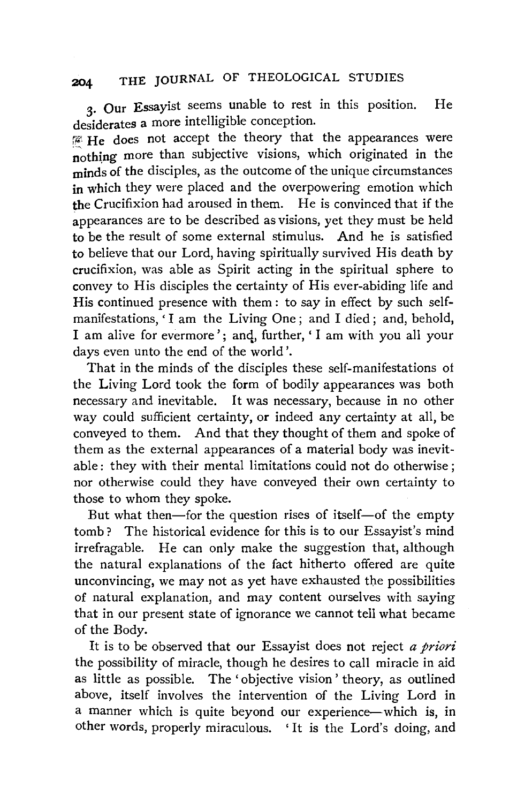## 204 THE JOURNAL OF THEOLOGICAL STUDIES

*<sup>3</sup>.* Our Essayist seems unable to rest in this position. He desiderates a more intelligible conception.

He does not accept the theory that the appearances were nothing more than subjective visions, which originated in the minds of the disciples, as the outcome of the unique circumstances in which they were placed and the overpowering emotion which the Crucifixion had aroused in them. He is convinced that if the appearances are to be described as visions, yet they must be held to be the result of some external stimulus. And he is satisfied to believe that our Lord, having spiritually survived His death by crucifixion, was able as Spirit acting in the spiritual sphere to convey to His disciples the certainty of His ever-abiding life and His continued presence with them : to say in effect by such selfmanifestations, 'I am the Living One; and I died; and, behold, I am alive for evermore'; and, further, 'I am with you all your days even unto the end of the world'.

That in the minds of the disciples these self-manifestations of the Living Lord took the form of bodily appearances was both necessary and inevitable. It was necessary, because in no other way could sufficient certainty, or indeed any certainty at all, be conveyed to them. And that they thought of them and spoke of them as the external appearances of a material body was inevitable: they with their mental limitations could not do otherwise ; nor otherwise could they have conveyed their own certainty to those to whom they spoke.

But what then-for the question rises of itself-of the empty tomb? The historical evidence for this is to our Essayist's mind irrefragable. He can only make the suggestion that, although the natural explanations of the fact hitherto offered are quite unconvincing, we may not as yet have exhausted the possibilities of natural explanation, and may content ourselves with saying that in our present state of ignorance we cannot tell what became of the Body.

It is to be observed that our Essayist does not reject *a priori*  the possibility of miracle, though he desires to call miracle in aid as little as possible. The 'objective vision ' theory, as outlined above, itself involves the intervention of the Living Lord in a manner which is quite beyond our experience-which is, in other words, properly miraculous. 'It is the Lord's doing, and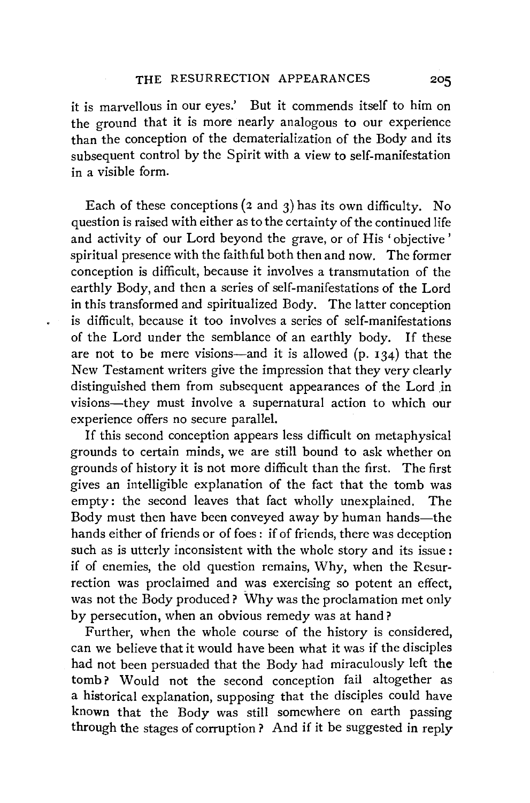it is marvellous in our eyes.' But it commends itself to him on the ground that it is more nearly analogous to our experience than the conception of the dematerialization of the Body and its subsequent control by the Spirit with a view to self-manifestation in a visible form.

Each of these conceptions  $(2 \text{ and } 3)$  has its own difficulty. No question is raised with either as to the certainty of the continued life and activity of our Lord beyond the grave, or of His 'objective ' spiritual presence with the faithful both then and now. The former conception is difficult, because it involves a transmutation of the earthly Body, and then a series of self-manifestations of the Lord in this transformed and spiritualized Body. The latter conception is difficult, because it too involves a series of self-manifestations of the Lord under the semblance of an earthly body. If these are not to be mere visions—and it is allowed  $(p. 134)$  that the New Testament writers give the impression that they very clearly distinguished them from subsequent appearances of the Lord in visions-they must involve a supernatural action to which our experience offers no secure parallel.

If this second conception appears less difficult on metaphysical grounds to certain minds, we are still bound to ask whether on grounds of history it is not more difficult than the first. The first gives an intelligible explanation of the fact that the tomb was empty: the second leaves that fact wholly unexplained. The Body must then have been conveyed away by human hands-the hands either of friends or of foes : if of friends, there was deception such as is utterly inconsistent with the whole story and its issue : if of enemies, the old question remains, Why, when the Resurrection was proclaimed and was exercising so potent an effect, was not the Body produced? Why was the proclamation met only by persecution, when an obvious remedy was at hand?

Further, when the whole course of the history is considered, can we believe that it would have been what it was if the disciples had not been persuaded that the Body had miraculously left the tomb? Would not the second conception fail altogether as a historical explanation, supposing that the disciples could have known that the Body was still somewhere on earth passing through the stages of corruption ? And if it be suggested in reply